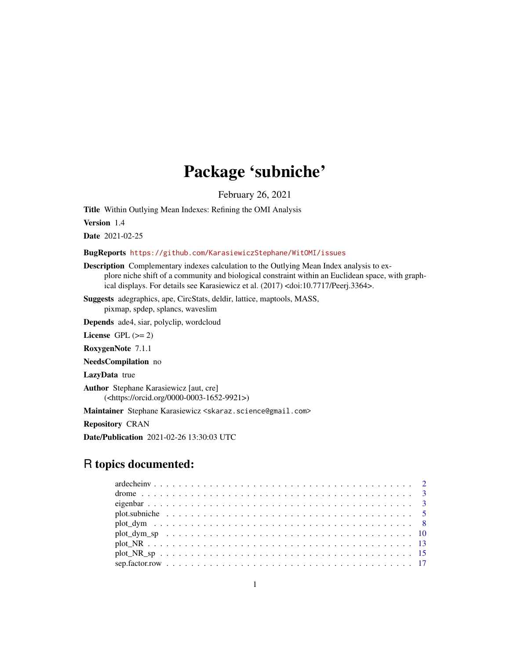# Package 'subniche'

February 26, 2021

<span id="page-0-0"></span>Title Within Outlying Mean Indexes: Refining the OMI Analysis

Version 1.4

Date 2021-02-25

#### BugReports <https://github.com/KarasiewiczStephane/WitOMI/issues>

Description Complementary indexes calculation to the Outlying Mean Index analysis to explore niche shift of a community and biological constraint within an Euclidean space, with graphical displays. For details see Karasiewicz et al. (2017) <doi:10.7717/Peerj.3364>.

Suggests adegraphics, ape, CircStats, deldir, lattice, maptools, MASS, pixmap, spdep, splancs, waveslim

Depends ade4, siar, polyclip, wordcloud

License GPL  $(>= 2)$ 

RoxygenNote 7.1.1

NeedsCompilation no

LazyData true

Author Stephane Karasiewicz [aut, cre] (<https://orcid.org/0000-0003-1652-9921>)

Maintainer Stephane Karasiewicz <skaraz.science@gmail.com>

Repository CRAN

Date/Publication 2021-02-26 13:30:03 UTC

# R topics documented: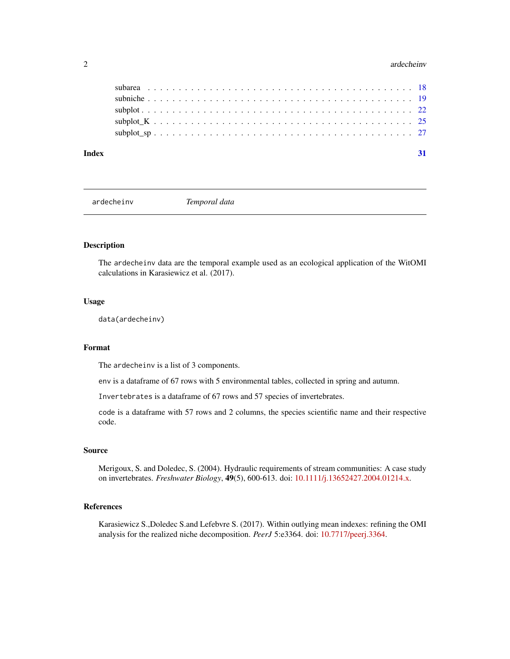#### <span id="page-1-0"></span>2 ardecheinv

| Index |  |  |  |  |  |  |  |  |  |  |  |  |  |  |  |  |  |  |  |  |  |
|-------|--|--|--|--|--|--|--|--|--|--|--|--|--|--|--|--|--|--|--|--|--|
|       |  |  |  |  |  |  |  |  |  |  |  |  |  |  |  |  |  |  |  |  |  |
|       |  |  |  |  |  |  |  |  |  |  |  |  |  |  |  |  |  |  |  |  |  |
|       |  |  |  |  |  |  |  |  |  |  |  |  |  |  |  |  |  |  |  |  |  |
|       |  |  |  |  |  |  |  |  |  |  |  |  |  |  |  |  |  |  |  |  |  |
|       |  |  |  |  |  |  |  |  |  |  |  |  |  |  |  |  |  |  |  |  |  |

ardecheinv *Temporal data*

#### Description

The ardecheinv data are the temporal example used as an ecological application of the WitOMI calculations in Karasiewicz et al. (2017).

#### Usage

data(ardecheinv)

#### Format

The ardecheinv is a list of 3 components.

env is a dataframe of 67 rows with 5 environmental tables, collected in spring and autumn.

Invertebrates is a dataframe of 67 rows and 57 species of invertebrates.

code is a dataframe with 57 rows and 2 columns, the species scientific name and their respective code.

#### Source

Merigoux, S. and Doledec, S. (2004). Hydraulic requirements of stream communities: A case study on invertebrates. *Freshwater Biology*, 49(5), 600-613. doi: [10.1111/j.13652427.2004.01214.x.](https://doi.org/10.1111/j.1365-2427.2004.01214.x)

#### References

Karasiewicz S.,Doledec S.and Lefebvre S. (2017). Within outlying mean indexes: refining the OMI analysis for the realized niche decomposition. *PeerJ* 5:e3364. doi: [10.7717/peerj.3364.](https://doi.org/10.7717/peerj.3364)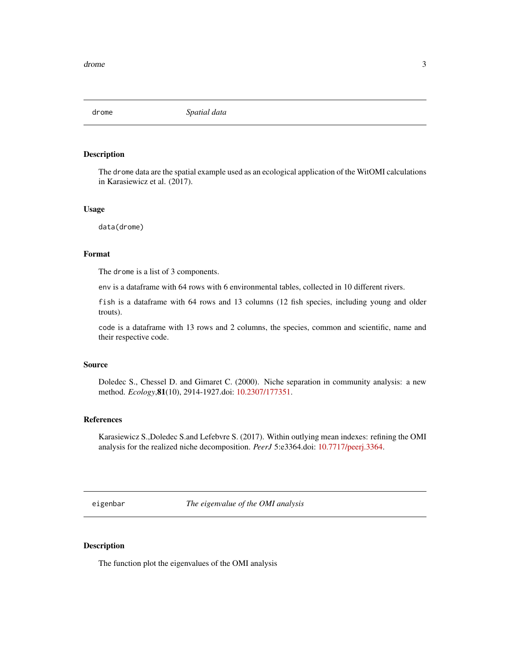<span id="page-2-0"></span>

#### Description

The drome data are the spatial example used as an ecological application of the WitOMI calculations in Karasiewicz et al. (2017).

#### Usage

data(drome)

#### Format

The drome is a list of 3 components.

env is a dataframe with 64 rows with 6 environmental tables, collected in 10 different rivers.

fish is a dataframe with 64 rows and 13 columns (12 fish species, including young and older trouts).

code is a dataframe with 13 rows and 2 columns, the species, common and scientific, name and their respective code.

#### Source

Doledec S., Chessel D. and Gimaret C. (2000). Niche separation in community analysis: a new method. *Ecology*,81(10), 2914-1927.doi: [10.2307/177351.](https://doi.org/10.2307/177351)

#### References

Karasiewicz S.,Doledec S.and Lefebvre S. (2017). Within outlying mean indexes: refining the OMI analysis for the realized niche decomposition. *PeerJ* 5:e3364.doi: [10.7717/peerj.3364.](https://doi.org/10.7717/peerj.3364)

eigenbar *The eigenvalue of the OMI analysis*

#### Description

The function plot the eigenvalues of the OMI analysis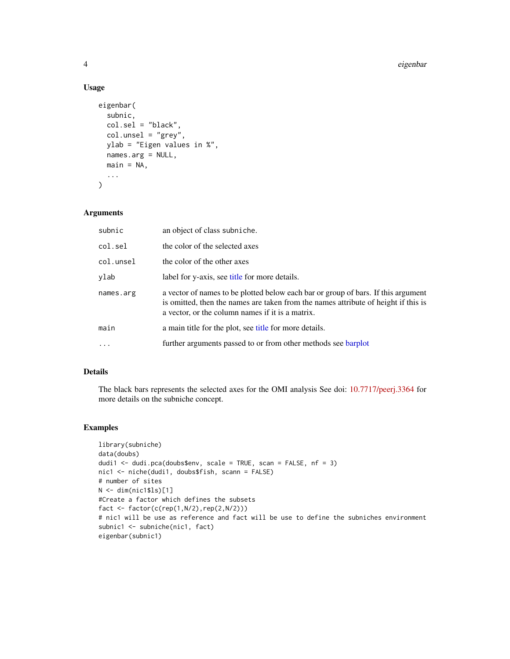#### 4 eigenbar

#### Usage

```
eigenbar(
  subnic,
  col.sel = "black",
  col.unsel = "grey",
 ylab = "Eigen values in %",
 names.arg = NULL,
 main = NA,
  ...
)
```
#### Arguments

| subnic    | an object of class subniche.                                                                                                                                                                                                |
|-----------|-----------------------------------------------------------------------------------------------------------------------------------------------------------------------------------------------------------------------------|
| col.sel   | the color of the selected axes                                                                                                                                                                                              |
| col.unsel | the color of the other axes                                                                                                                                                                                                 |
| ylab      | label for y-axis, see title for more details.                                                                                                                                                                               |
| names.arg | a vector of names to be plotted below each bar or group of bars. If this argument<br>is omitted, then the names are taken from the names attribute of height if this is<br>a vector, or the column names if it is a matrix. |
| main      | a main title for the plot, see title for more details.                                                                                                                                                                      |
| $\cdot$   | further arguments passed to or from other methods see barplot                                                                                                                                                               |

#### Details

The black bars represents the selected axes for the OMI analysis See doi: [10.7717/peerj.3364](https://doi.org/10.7717/peerj.3364) for more details on the subniche concept.

#### Examples

```
library(subniche)
data(doubs)
dudi1 <- dudi.pca(doubs$env, scale = TRUE, scan = FALSE, nf = 3)
nic1 <- niche(dudi1, doubs$fish, scann = FALSE)
# number of sites
N <- dim(nic1$ls)[1]
#Create a factor which defines the subsets
fact <- factor(c(rep(1,N/2),rep(2,N/2)))
# nic1 will be use as reference and fact will be use to define the subniches environment
subnic1 <- subniche(nic1, fact)
eigenbar(subnic1)
```
<span id="page-3-0"></span>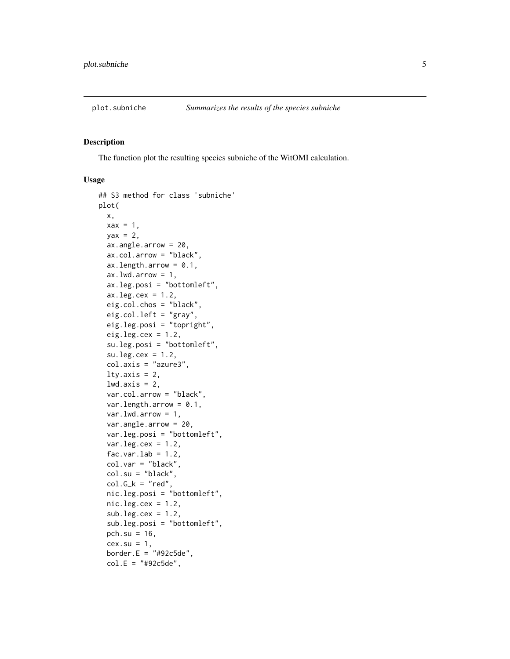<span id="page-4-0"></span>

#### Description

The function plot the resulting species subniche of the WitOMI calculation.

```
## S3 method for class 'subniche'
plot(
 x,
 \text{max} = 1,
 \text{yax} = 2,
  ax.angle.arrow = 20,
  ax.col.arrow = "black",
  ax.length.array = 0.1,
  ax.lwd.arrow = 1,
  ax.leg.posi = "bottomleft",
  ax.leg.cex = 1.2,
  eig.col.chos = "black",
  eig.col.left = "gray",
  eig.leg.posi = "topright",
  eig.leg.cex = 1.2,
  su.leg.posi = "bottomleft",
  su.leg.cex = 1.2,
  col.axis = "azure3",
  lty.axis = 2,
  lwd.axis = 2,var.col.arrow = "black",
  var.length.arrow = 0.1,
  var.lwd.arrow = 1,
  var.angle.arrow = 20,
  var.leg.posi = "bottomleft",
  var.leg. cex = 1.2,fac.var.lab = 1.2,
  col.var = "black",
  col.su = "black",
  col.G_k = "red",nic.leg.posi = "bottomleft",
  nic.leg.cex = 1.2,sub.leg.cex = 1.2sub.leg.posi = "bottomleft",
  pch.su = 16,
  cex.su = 1,
  border.E = "#92c5de",
  col.E = "#92c5de",
```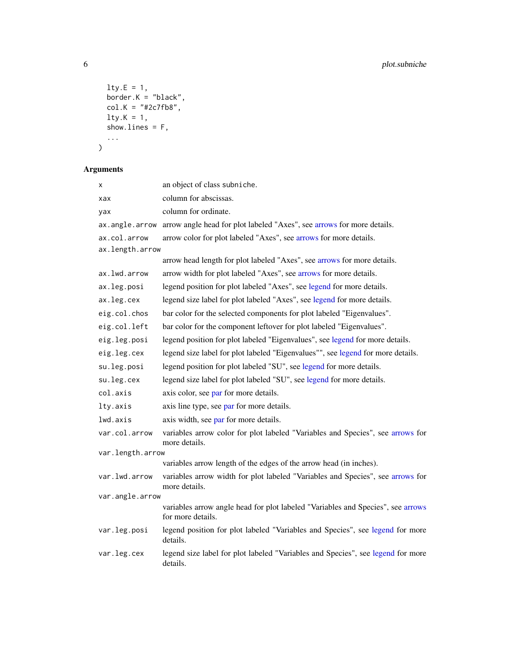```
lty.E = 1,border.K = "black",col.K = "#2c7fb8",
 lty.K = 1,show.lines = F,
  ...
\lambda
```
### Arguments

| x                | an object of class subniche.                                                                         |
|------------------|------------------------------------------------------------------------------------------------------|
| xax              | column for abscissas.                                                                                |
| yax              | column for ordinate.                                                                                 |
| ax.angle.arrow   | arrow angle head for plot labeled "Axes", see arrows for more details.                               |
| ax.col.arrow     | arrow color for plot labeled "Axes", see arrows for more details.                                    |
| ax.length.arrow  |                                                                                                      |
|                  | arrow head length for plot labeled "Axes", see arrows for more details.                              |
| ax.lwd.arrow     | arrow width for plot labeled "Axes", see arrows for more details.                                    |
| ax.leg.posi      | legend position for plot labeled "Axes", see legend for more details.                                |
| ax.leg.cex       | legend size label for plot labeled "Axes", see legend for more details.                              |
| eig.col.chos     | bar color for the selected components for plot labeled "Eigenvalues".                                |
| eig.col.left     | bar color for the component leftover for plot labeled "Eigenvalues".                                 |
| eig.leg.posi     | legend position for plot labeled "Eigenvalues", see legend for more details.                         |
| eig.leg.cex      | legend size label for plot labeled "Eigenvalues"", see legend for more details.                      |
| su.leg.posi      | legend position for plot labeled "SU", see legend for more details.                                  |
| su.leg.cex       | legend size label for plot labeled "SU", see legend for more details.                                |
| col.axis         | axis color, see par for more details.                                                                |
| lty.axis         | axis line type, see par for more details.                                                            |
| lwd.axis         | axis width, see par for more details.                                                                |
| var.col.arrow    | variables arrow color for plot labeled "Variables and Species", see arrows for<br>more details.      |
| var.length.arrow |                                                                                                      |
|                  | variables arrow length of the edges of the arrow head (in inches).                                   |
| var.lwd.arrow    | variables arrow width for plot labeled "Variables and Species", see arrows for<br>more details.      |
| var.angle.arrow  |                                                                                                      |
|                  | variables arrow angle head for plot labeled "Variables and Species", see arrows<br>for more details. |
| var.leg.posi     | legend position for plot labeled "Variables and Species", see legend for more<br>details.            |
| var.leg.cex      | legend size label for plot labeled "Variables and Species", see legend for more<br>details.          |

<span id="page-5-0"></span>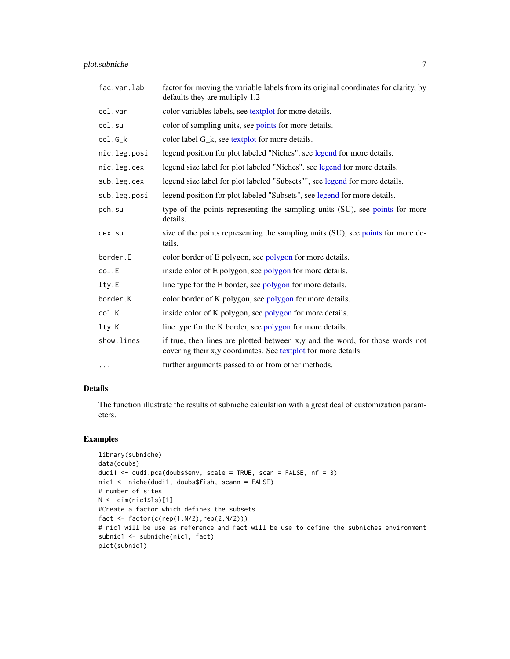<span id="page-6-0"></span>plot.subniche 7

| fac.var.lab  | factor for moving the variable labels from its original coordinates for clarity, by<br>defaults they are multiply 1.2                             |
|--------------|---------------------------------------------------------------------------------------------------------------------------------------------------|
| col.var      | color variables labels, see textplot for more details.                                                                                            |
| col.su       | color of sampling units, see points for more details.                                                                                             |
| $col.G_k$    | color label G_k, see textplot for more details.                                                                                                   |
| nic.leg.posi | legend position for plot labeled "Niches", see legend for more details.                                                                           |
| nic.leg.cex  | legend size label for plot labeled "Niches", see legend for more details.                                                                         |
| sub.leg.cex  | legend size label for plot labeled "Subsets"", see legend for more details.                                                                       |
| sub.leg.posi | legend position for plot labeled "Subsets", see legend for more details.                                                                          |
| pch.su       | type of the points representing the sampling units (SU), see points for more<br>details.                                                          |
| cex.su       | size of the points representing the sampling units (SU), see points for more de-<br>tails.                                                        |
| border.E     | color border of E polygon, see polygon for more details.                                                                                          |
| col.E        | inside color of E polygon, see polygon for more details.                                                                                          |
| lty.E        | line type for the E border, see polygon for more details.                                                                                         |
| border.K     | color border of K polygon, see polygon for more details.                                                                                          |
| col.K        | inside color of K polygon, see polygon for more details.                                                                                          |
| lty.K        | line type for the K border, see polygon for more details.                                                                                         |
| show.lines   | if true, then lines are plotted between x,y and the word, for those words not<br>covering their x, y coordinates. See text plot for more details. |
| .            | further arguments passed to or from other methods.                                                                                                |

#### Details

The function illustrate the results of subniche calculation with a great deal of customization parameters.

#### Examples

```
library(subniche)
data(doubs)
dudi1 <- dudi.pca(doubs$env, scale = TRUE, scan = FALSE, nf = 3)
nic1 <- niche(dudi1, doubs$fish, scann = FALSE)
# number of sites
N <- dim(nic1$ls)[1]
#Create a factor which defines the subsets
fact \leq factor(c(rep(1,N/2),rep(2,N/2)))
# nic1 will be use as reference and fact will be use to define the subniches environment
subnic1 <- subniche(nic1, fact)
plot(subnic1)
```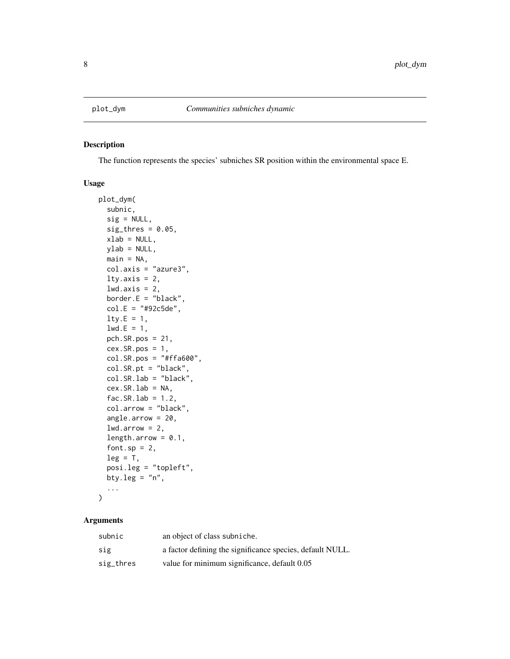<span id="page-7-0"></span>

#### Description

The function represents the species' subniches SR position within the environmental space E.

#### Usage

```
plot_dym(
  subnic,
  sig = NULL,sig_thres = 0.05,
  xlab = NULL,
 ylab = NULL,
 main = NA,
  col.axis = "azure3",
  lty.axis = 2,
  lwd.axis = 2,border.E = "black",
  col.E = "#92c5de",lty.E = 1,1wd.E = 1,
  pch.SR.pos = 21,
  cex.SR.pos = 1,
  col.SR.pos = "#ffa600",col.SR.pt = "black",
  col.SR.lab = "black",
  cex.SR.Lab = NA,
  fac.SR.lab = 1.2,col.arrow = "black",
  angle.arrow = 20,
  1wd.array = 2,
  length.arrow = 0.1,
  font.sp = 2,
  leg = T,posi.leg = "topleft",
 bty.leg = "n",...
)
```
#### Arguments

| subnic    | an object of class subniche.                              |
|-----------|-----------------------------------------------------------|
| sig       | a factor defining the significance species, default NULL. |
| sig_thres | value for minimum significance, default 0.05              |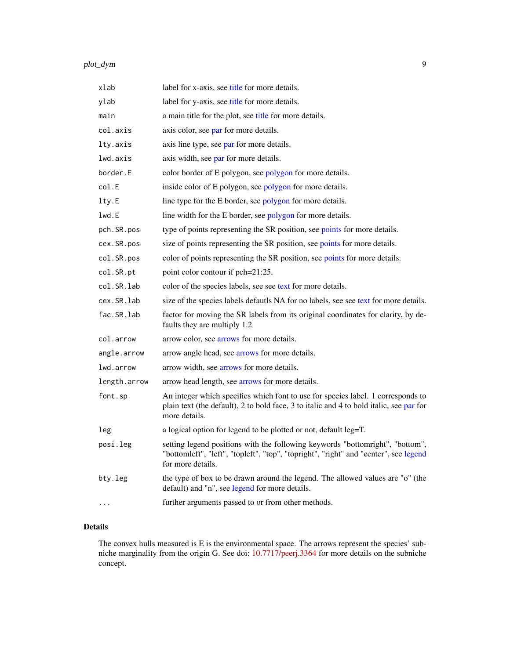#### <span id="page-8-0"></span>plot\_dym 9

| xlab         | label for x-axis, see title for more details.                                                                                                                                                |
|--------------|----------------------------------------------------------------------------------------------------------------------------------------------------------------------------------------------|
| ylab         | label for y-axis, see title for more details.                                                                                                                                                |
| main         | a main title for the plot, see title for more details.                                                                                                                                       |
| col.axis     | axis color, see par for more details.                                                                                                                                                        |
| lty.axis     | axis line type, see par for more details.                                                                                                                                                    |
| lwd.axis     | axis width, see par for more details.                                                                                                                                                        |
| border.E     | color border of E polygon, see polygon for more details.                                                                                                                                     |
| col.E        | inside color of E polygon, see polygon for more details.                                                                                                                                     |
| lty.E        | line type for the E border, see polygon for more details.                                                                                                                                    |
| lwd.E        | line width for the E border, see polygon for more details.                                                                                                                                   |
| pch.SR.pos   | type of points representing the SR position, see points for more details.                                                                                                                    |
| cex.SR.pos   | size of points representing the SR position, see points for more details.                                                                                                                    |
| col.SR.pos   | color of points representing the SR position, see points for more details.                                                                                                                   |
| col.SR.pt    | point color contour if pch=21:25.                                                                                                                                                            |
| col.SR.lab   | color of the species labels, see see text for more details.                                                                                                                                  |
| cex.SR.lab   | size of the species labels defautls NA for no labels, see see text for more details.                                                                                                         |
| fac.SR.lab   | factor for moving the SR labels from its original coordinates for clarity, by de-<br>faults they are multiply 1.2                                                                            |
| col.arrow    | arrow color, see arrows for more details.                                                                                                                                                    |
| angle.arrow  | arrow angle head, see arrows for more details.                                                                                                                                               |
| lwd.arrow    | arrow width, see arrows for more details.                                                                                                                                                    |
| length.arrow | arrow head length, see arrows for more details.                                                                                                                                              |
| font.sp      | An integer which specifies which font to use for species label. 1 corresponds to<br>plain text (the default), 2 to bold face, 3 to italic and 4 to bold italic, see par for<br>more details. |
| leg          | a logical option for legend to be plotted or not, default leg=T.                                                                                                                             |
| posi.leg     | setting legend positions with the following keywords "bottomright", "bottom",<br>"bottomleft", "left", "topleft", "top", "topright", "right" and "center", see legend<br>for more details.   |
| bty.leg      | the type of box to be drawn around the legend. The allowed values are "o" (the<br>default) and "n", see legend for more details.                                                             |
| $\cdots$     | further arguments passed to or from other methods.                                                                                                                                           |

### Details

The convex hulls measured is E is the environmental space. The arrows represent the species' subniche marginality from the origin G. See doi: [10.7717/peerj.3364](https://doi.org/10.7717/peerj.3364) for more details on the subniche concept.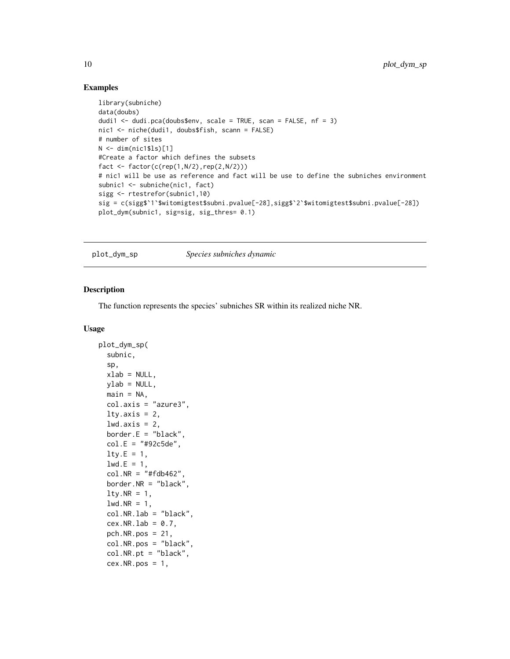#### Examples

```
library(subniche)
data(doubs)
dudi1 <- dudi.pca(doubs$env, scale = TRUE, scan = FALSE, nf = 3)
nic1 <- niche(dudi1, doubs$fish, scann = FALSE)
# number of sites
N < - dim(nic1$ls)[1]
#Create a factor which defines the subsets
fact \leq factor(c(rep(1,N/2),rep(2,N/2)))
# nic1 will be use as reference and fact will be use to define the subniches environment
subnic1 <- subniche(nic1, fact)
sigg <- rtestrefor(subnic1,10)
sig = c(sigg$`1`$witomigtest$subni.pvalue[-28],sigg$`2`$witomigtest$subni.pvalue[-28])
plot_dym(subnic1, sig=sig, sig_thres= 0.1)
```
plot\_dym\_sp *Species subniches dynamic*

#### Description

The function represents the species' subniches SR within its realized niche NR.

```
plot_dym_sp(
  subnic,
  sp,
  xlab = NULL,
  ylab = NULL,
  main = NA,
  col.axis = "azure3",
  lty.axis = 2,
  lwd.axis = 2,border.E = "black",col.E = "#92c5de",lty.E = 1,
  1wd.E = 1,
  col.NR = "#fdb462"border.NR = "black",
  lty.NR = 1,
  lwd.NR = 1,
  col.NR.lab = "black",
  cex.NR.lab = 0.7,
  pch.NR.pos = 21,
  col.NR.pos = "black",
  col.NR.pt = "black",
  cex.NR.pos = 1,
```
<span id="page-9-0"></span>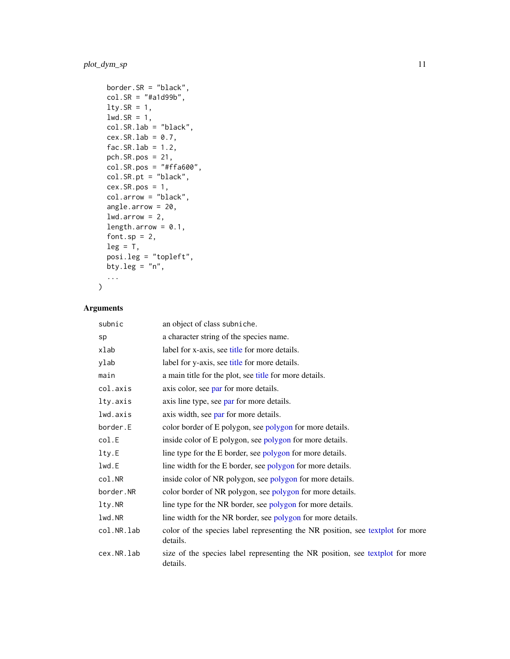### <span id="page-10-0"></span>plot\_dym\_sp 11

```
border.SR = "black",
col.SR = "#a1d99b",lty.SR = 1,
lwd.SR = 1,
col.SR.lab = "black",cex.SR.lab = 0.7,
fac.SR.lab = 1.2,
pch.SR.pos = 21,
col.SR.pos = "#ffa600",col.SR.pt = "black",
cex.SR.pos = 1,
col.arrow = "black",
angle.arrow = 20,
1wd.array = 2,
length.arrow = 0.1,
font.sp = 2,
leg = T,posi.leg = "topleft",
bty.leg = "n",...
```
#### Arguments

 $\mathcal{L}$ 

| subnic     | an object of class subniche.                                                               |
|------------|--------------------------------------------------------------------------------------------|
| sp         | a character string of the species name.                                                    |
| xlab       | label for x-axis, see title for more details.                                              |
| ylab       | label for y-axis, see title for more details.                                              |
| main       | a main title for the plot, see title for more details.                                     |
| col.axis   | axis color, see par for more details.                                                      |
| lty.axis   | axis line type, see par for more details.                                                  |
| lwd.axis   | axis width, see par for more details.                                                      |
| border.E   | color border of E polygon, see polygon for more details.                                   |
| col.E      | inside color of E polygon, see polygon for more details.                                   |
| lty.E      | line type for the E border, see polygon for more details.                                  |
| lwd.E      | line width for the E border, see polygon for more details.                                 |
| col.NR     | inside color of NR polygon, see polygon for more details.                                  |
| border.NR  | color border of NR polygon, see polygon for more details.                                  |
| lty.NR     | line type for the NR border, see polygon for more details.                                 |
| lwd.NR     | line width for the NR border, see polygon for more details.                                |
| col.NR.lab | color of the species label representing the NR position, see textplot for more<br>details. |
| cex.NR.lab | size of the species label representing the NR position, see textplot for more<br>details.  |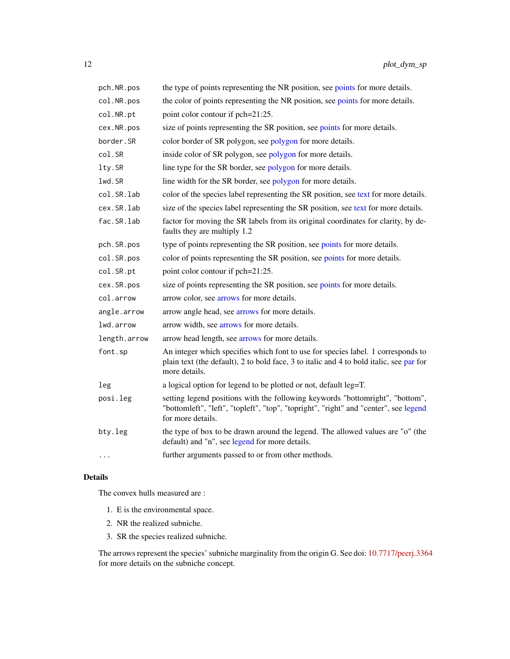<span id="page-11-0"></span>

| pch.NR.pos   | the type of points representing the NR position, see points for more details.                                                                                                                |
|--------------|----------------------------------------------------------------------------------------------------------------------------------------------------------------------------------------------|
| col.NR.pos   | the color of points representing the NR position, see points for more details.                                                                                                               |
| col.NR.pt    | point color contour if pch=21:25.                                                                                                                                                            |
| cex.NR.pos   | size of points representing the SR position, see points for more details.                                                                                                                    |
| border.SR    | color border of SR polygon, see polygon for more details.                                                                                                                                    |
| col.SR       | inside color of SR polygon, see polygon for more details.                                                                                                                                    |
| lty.SR       | line type for the SR border, see polygon for more details.                                                                                                                                   |
| lwd.SR       | line width for the SR border, see polygon for more details.                                                                                                                                  |
| col.SR.lab   | color of the species label representing the SR position, see text for more details.                                                                                                          |
| cex.SR.lab   | size of the species label representing the SR position, see text for more details.                                                                                                           |
| fac.SR.lab   | factor for moving the SR labels from its original coordinates for clarity, by de-<br>faults they are multiply 1.2                                                                            |
| pch.SR.pos   | type of points representing the SR position, see points for more details.                                                                                                                    |
| col.SR.pos   | color of points representing the SR position, see points for more details.                                                                                                                   |
| col.SR.pt    | point color contour if pch=21:25.                                                                                                                                                            |
| cex.SR.pos   | size of points representing the SR position, see points for more details.                                                                                                                    |
| col.arrow    | arrow color, see arrows for more details.                                                                                                                                                    |
| angle.arrow  | arrow angle head, see arrows for more details.                                                                                                                                               |
| lwd.arrow    | arrow width, see arrows for more details.                                                                                                                                                    |
| length.arrow | arrow head length, see arrows for more details.                                                                                                                                              |
| font.sp      | An integer which specifies which font to use for species label. 1 corresponds to<br>plain text (the default), 2 to bold face, 3 to italic and 4 to bold italic, see par for<br>more details. |
| leg          | a logical option for legend to be plotted or not, default leg=T.                                                                                                                             |
| posi.leg     | setting legend positions with the following keywords "bottomright", "bottom",<br>"bottomleft", "left", "topleft", "top", "topright", "right" and "center", see legend<br>for more details.   |
| bty.leg      | the type of box to be drawn around the legend. The allowed values are "o" (the<br>default) and "n", see legend for more details.                                                             |
| $\cdots$     | further arguments passed to or from other methods.                                                                                                                                           |

#### Details

The convex hulls measured are :

- 1. E is the environmental space.
- 2. NR the realized subniche.
- 3. SR the species realized subniche.

The arrows represent the species' subniche marginality from the origin G. See doi: [10.7717/peerj.3364](https://doi.org/10.7717/peerj.3364) for more details on the subniche concept.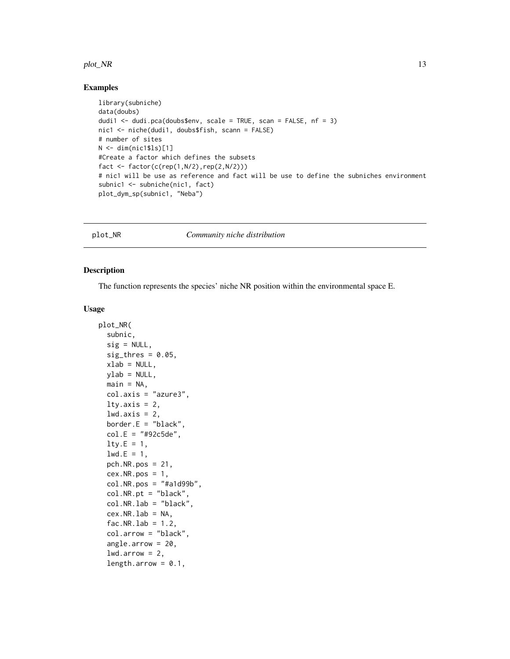#### <span id="page-12-0"></span>plot\_NR 13

#### Examples

```
library(subniche)
data(doubs)
dudi1 <- dudi.pca(doubs$env, scale = TRUE, scan = FALSE, nf = 3)
nic1 <- niche(dudi1, doubs$fish, scann = FALSE)
# number of sites
N <- dim(nic1$ls)[1]
#Create a factor which defines the subsets
fact \leq factor(c(rep(1,N/2),rep(2,N/2)))
# nic1 will be use as reference and fact will be use to define the subniches environment
subnic1 <- subniche(nic1, fact)
plot_dym_sp(subnic1, "Neba")
```
plot\_NR *Community niche distribution*

#### Description

The function represents the species' niche NR position within the environmental space E.

```
plot_NR(
  subnic,
  sig = NULL,sig_thres = 0.05,
  xlab = NULL,
  ylab = NULL,
  main = NA,
  col.axis = "azure3",
  lty.axis = 2,
  lwd.axis = 2,border.E = "black",col.E = "#92c5de",lty.E = 1,1wd.E = 1,
  pch.NR.pos = 21,
  cex.NR.pos = 1,
  col.NR.pos = "#a1d99b",
  col.NR.pt = "black",
  col.NR.lab = "black",
  cex.NR.Lab = NA,
  fac.NR.lab = 1.2,col.arrow = "black",
  angle.arrow = 20,
  lwd.array = 2,
  length.arrow = 0.1,
```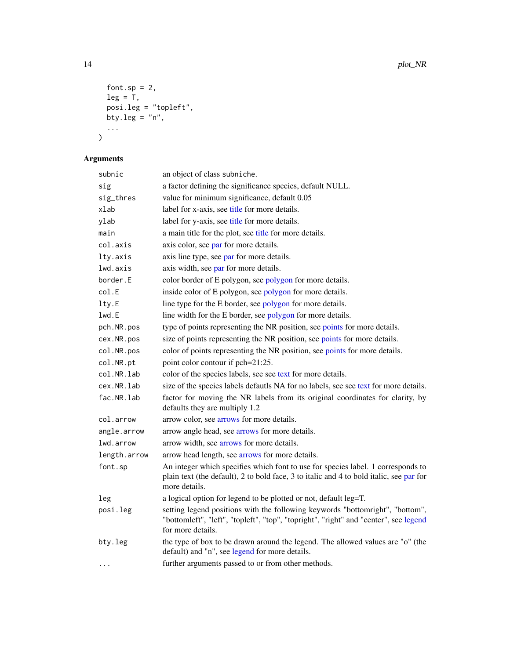```
font.sp = 2,
  leg = T,posi.leg = "topleft",
  bty.leg = "n",...
\lambda
```
# Arguments

| subnic       | an object of class subniche.                                                                                                                                                                 |
|--------------|----------------------------------------------------------------------------------------------------------------------------------------------------------------------------------------------|
| sig          | a factor defining the significance species, default NULL.                                                                                                                                    |
| sig_thres    | value for minimum significance, default 0.05                                                                                                                                                 |
| xlab         | label for x-axis, see title for more details.                                                                                                                                                |
| ylab         | label for y-axis, see title for more details.                                                                                                                                                |
| main         | a main title for the plot, see title for more details.                                                                                                                                       |
| col.axis     | axis color, see par for more details.                                                                                                                                                        |
| lty.axis     | axis line type, see par for more details.                                                                                                                                                    |
| lwd.axis     | axis width, see par for more details.                                                                                                                                                        |
| border.E     | color border of E polygon, see polygon for more details.                                                                                                                                     |
| col.E        | inside color of E polygon, see polygon for more details.                                                                                                                                     |
| lty.E        | line type for the E border, see polygon for more details.                                                                                                                                    |
| lwd.E        | line width for the E border, see polygon for more details.                                                                                                                                   |
| pch.NR.pos   | type of points representing the NR position, see points for more details.                                                                                                                    |
| cex.NR.pos   | size of points representing the NR position, see points for more details.                                                                                                                    |
| col.NR.pos   | color of points representing the NR position, see points for more details.                                                                                                                   |
| col.NR.pt    | point color contour if pch=21:25.                                                                                                                                                            |
| col.NR.lab   | color of the species labels, see see text for more details.                                                                                                                                  |
| cex.NR.lab   | size of the species labels defautls NA for no labels, see see text for more details.                                                                                                         |
| fac.NR.lab   | factor for moving the NR labels from its original coordinates for clarity, by<br>defaults they are multiply 1.2                                                                              |
| col.arrow    | arrow color, see arrows for more details.                                                                                                                                                    |
| angle.arrow  | arrow angle head, see arrows for more details.                                                                                                                                               |
| lwd.arrow    | arrow width, see arrows for more details.                                                                                                                                                    |
| length.arrow | arrow head length, see arrows for more details.                                                                                                                                              |
| font.sp      | An integer which specifies which font to use for species label. 1 corresponds to<br>plain text (the default), 2 to bold face, 3 to italic and 4 to bold italic, see par for<br>more details. |
| leg          | a logical option for legend to be plotted or not, default leg=T.                                                                                                                             |
| posi.leg     | setting legend positions with the following keywords "bottomright", "bottom",<br>"bottomleft", "left", "topleft", "top", "topright", "right" and "center", see legend<br>for more details.   |
| bty.leg      | the type of box to be drawn around the legend. The allowed values are "o" (the<br>default) and "n", see legend for more details.                                                             |
| $\cdots$     | further arguments passed to or from other methods.                                                                                                                                           |

<span id="page-13-0"></span>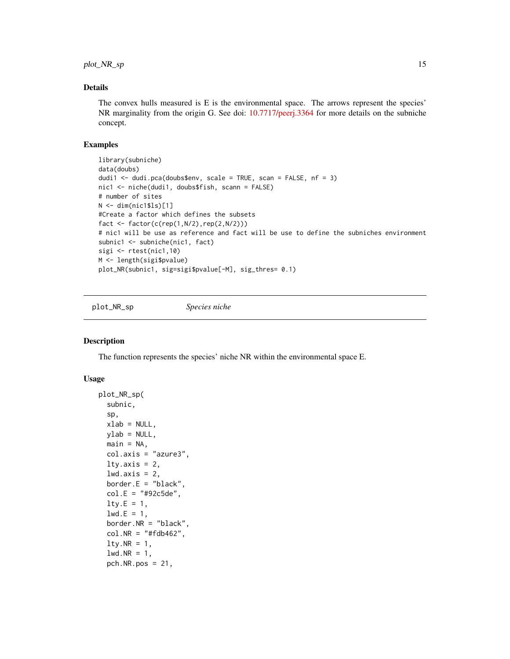#### <span id="page-14-0"></span>Details

The convex hulls measured is  $E$  is the environmental space. The arrows represent the species' NR marginality from the origin G. See doi: [10.7717/peerj.3364](https://doi.org/10.7717/peerj.3364) for more details on the subniche concept.

#### Examples

```
library(subniche)
data(doubs)
dudi1 <- dudi.pca(doubs$env, scale = TRUE, scan = FALSE, nf = 3)
nic1 <- niche(dudi1, doubs$fish, scann = FALSE)
# number of sites
N <- dim(nic1$ls)[1]
#Create a factor which defines the subsets
fact \leq factor(c(rep(1,N/2),rep(2,N/2)))
# nic1 will be use as reference and fact will be use to define the subniches environment
subnic1 <- subniche(nic1, fact)
sigi <- rtest(nic1,10)
M <- length(sigi$pvalue)
plot_NR(subnic1, sig=sigi$pvalue[-M], sig_thres= 0.1)
```
plot\_NR\_sp *Species niche*

#### Description

The function represents the species' niche NR within the environmental space E.

```
plot_NR_sp(
  subnic,
  sp,
  xlab = NULL,ylab = NULL,
 main = NA,
  col.axis = "azure3",
  lty.axis = 2,
  lwd.axis = 2,border.E = "black",col.E = "#92c5de",lty.E = 1,1wd.E = 1,
  border.NR = "black",
  col.NR = "#fdb462".lty.NR = 1,
  lwd.NR = 1,
  pch.NR.pos = 21,
```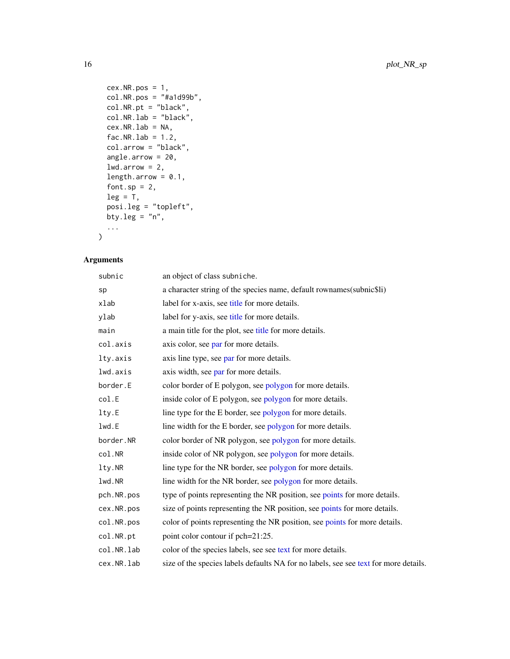```
cex.NR.pos = 1,
 col.NR.pos = "#a1d99b",
 col.NR.pt = "black",col.NR.lab = "black",
 cex.NR.Lab = NA,fac.NR.lab = 1.2,
 col.arrow = "black",
 angle.arrow = 20,
 1wd.array = 2,
 length.arrow = 0.1,
 font.sp = 2,
 leg = T,posi.leg = "topleft",
 bty.leg = "n",...
)
```
#### Arguments

| subnic     | an object of class subniche.                                                         |
|------------|--------------------------------------------------------------------------------------|
| sp         | a character string of the species name, default rownames (subnicsti)                 |
| xlab       | label for x-axis, see title for more details.                                        |
| ylab       | label for y-axis, see title for more details.                                        |
| main       | a main title for the plot, see title for more details.                               |
| col.axis   | axis color, see par for more details.                                                |
| lty.axis   | axis line type, see par for more details.                                            |
| lwd.axis   | axis width, see par for more details.                                                |
| border.E   | color border of E polygon, see polygon for more details.                             |
| col.E      | inside color of E polygon, see polygon for more details.                             |
| lty.E      | line type for the E border, see polygon for more details.                            |
| lwd.E      | line width for the E border, see polygon for more details.                           |
| border.NR  | color border of NR polygon, see polygon for more details.                            |
| col.NR     | inside color of NR polygon, see polygon for more details.                            |
| lty.NR     | line type for the NR border, see polygon for more details.                           |
| lwd.NR     | line width for the NR border, see polygon for more details.                          |
| pch.NR.pos | type of points representing the NR position, see points for more details.            |
| cex.NR.pos | size of points representing the NR position, see points for more details.            |
| col.NR.pos | color of points representing the NR position, see points for more details.           |
| col.NR.pt  | point color contour if pch=21:25.                                                    |
| col.NR.lab | color of the species labels, see see text for more details.                          |
| cex.NR.lab | size of the species labels defaults NA for no labels, see see text for more details. |

<span id="page-15-0"></span>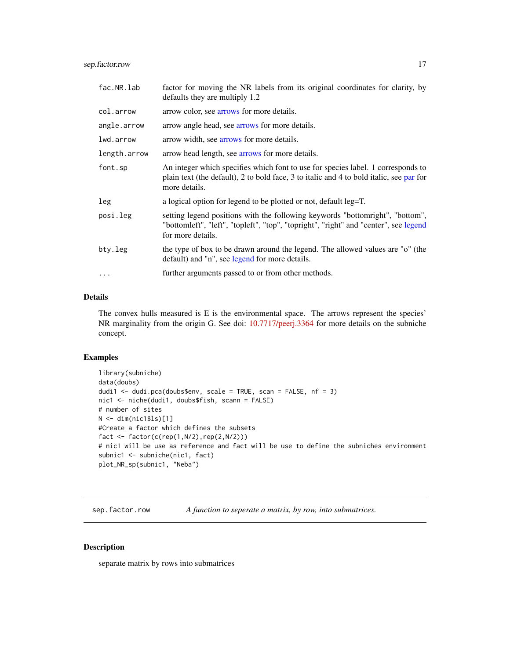#### <span id="page-16-0"></span>sep.factor.row 17

| fac.NR.lab   | factor for moving the NR labels from its original coordinates for clarity, by<br>defaults they are multiply 1.2                                                                              |
|--------------|----------------------------------------------------------------------------------------------------------------------------------------------------------------------------------------------|
| col.arrow    | arrow color, see arrows for more details.                                                                                                                                                    |
| angle.arrow  | arrow angle head, see arrows for more details.                                                                                                                                               |
| lwd.arrow    | arrow width, see arrows for more details.                                                                                                                                                    |
| length.arrow | arrow head length, see arrows for more details.                                                                                                                                              |
| font.sp      | An integer which specifies which font to use for species label. 1 corresponds to<br>plain text (the default), 2 to bold face, 3 to italic and 4 to bold italic, see par for<br>more details. |
| leg          | a logical option for legend to be plotted or not, default leg=T.                                                                                                                             |
| posi.leg     | setting legend positions with the following keywords "bottomright", "bottom",<br>"bottomleft", "left", "topleft", "top", "topright", "right" and "center", see legend<br>for more details.   |
| bty.leg      | the type of box to be drawn around the legend. The allowed values are "o" (the<br>default) and "n", see legend for more details.                                                             |
|              | further arguments passed to or from other methods.                                                                                                                                           |
|              |                                                                                                                                                                                              |

#### Details

The convex hulls measured is E is the environmental space. The arrows represent the species' NR marginality from the origin G. See doi: [10.7717/peerj.3364](https://doi.org/10.7717/peerj.3364) for more details on the subniche concept.

#### Examples

```
library(subniche)
data(doubs)
dudi1 <- dudi.pca(doubs$env, scale = TRUE, scan = FALSE, nf = 3)
nic1 <- niche(dudi1, doubs$fish, scann = FALSE)
# number of sites
N <- dim(nic1$ls)[1]
#Create a factor which defines the subsets
fact \leq factor(c(rep(1,N/2),rep(2,N/2)))
# nic1 will be use as reference and fact will be use to define the subniches environment
subnic1 <- subniche(nic1, fact)
plot_NR_sp(subnic1, "Neba")
```
sep.factor.row *A function to seperate a matrix, by row, into submatrices.*

#### Description

separate matrix by rows into submatrices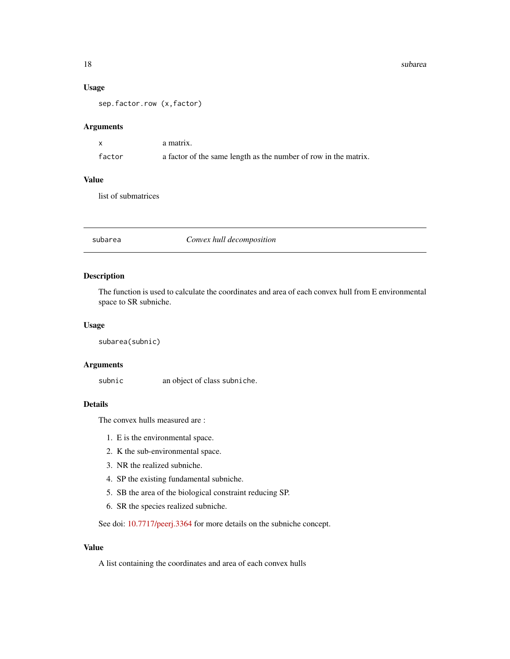#### <span id="page-17-0"></span>Usage

sep.factor.row (x,factor)

#### Arguments

|        | a matrix.                                                       |
|--------|-----------------------------------------------------------------|
| factor | a factor of the same length as the number of row in the matrix. |

#### Value

list of submatrices

subarea *Convex hull decomposition*

#### Description

The function is used to calculate the coordinates and area of each convex hull from E environmental space to SR subniche.

#### Usage

subarea(subnic)

#### Arguments

subnic an object of class subniche.

#### Details

The convex hulls measured are :

- 1. E is the environmental space.
- 2. K the sub-environmental space.
- 3. NR the realized subniche.
- 4. SP the existing fundamental subniche.
- 5. SB the area of the biological constraint reducing SP.
- 6. SR the species realized subniche.

See doi: [10.7717/peerj.3364](https://doi.org/10.7717/peerj.3364) for more details on the subniche concept.

#### Value

A list containing the coordinates and area of each convex hulls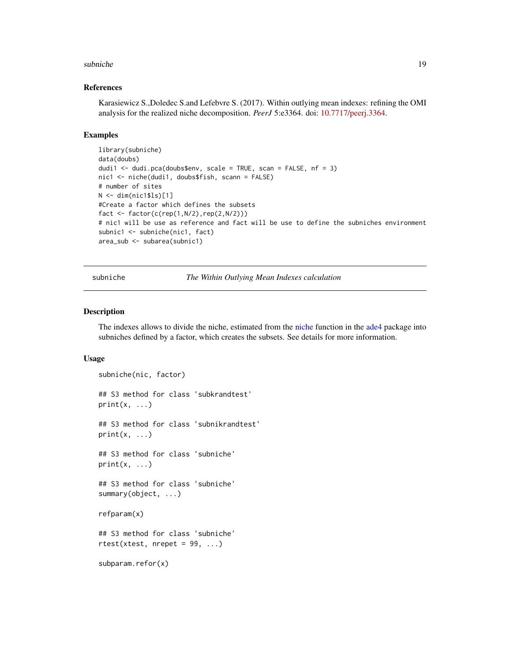#### <span id="page-18-0"></span>subniche the substitution of the substitution of the substitution of the substitution of the substitution of the substitution of the substitution of the substitution of the substitution of the substitution of the substitut

#### References

Karasiewicz S.,Doledec S.and Lefebvre S. (2017). Within outlying mean indexes: refining the OMI analysis for the realized niche decomposition. *PeerJ* 5:e3364. doi: [10.7717/peerj.3364.](https://doi.org/10.7717/peerj.3364)

#### Examples

```
library(subniche)
data(doubs)
dudi1 <- dudi.pca(doubs$env, scale = TRUE, scan = FALSE, nf = 3)
nic1 <- niche(dudi1, doubs$fish, scann = FALSE)
# number of sites
N < - dim(nic1$ls)[1]
#Create a factor which defines the subsets
fact \leq factor(c(rep(1,N/2),rep(2,N/2)))
# nic1 will be use as reference and fact will be use to define the subniches environment
subnic1 <- subniche(nic1, fact)
area_sub <- subarea(subnic1)
```
subniche *The Within Outlying Mean Indexes calculation*

#### Description

The indexes allows to divide the niche, estimated from the [niche](#page-0-0) function in the [ade4](#page-0-0) package into subniches defined by a factor, which creates the subsets. See details for more information.

```
subniche(nic, factor)
## S3 method for class 'subkrandtest'
print(x, \ldots)## S3 method for class 'subnikrandtest'
print(x, \ldots)## S3 method for class 'subniche'
print(x, \ldots)## S3 method for class 'subniche'
summary(object, ...)
refparam(x)
## S3 method for class 'subniche'
rtest(xtest, nrepeat = 99, ...)subparam.refor(x)
```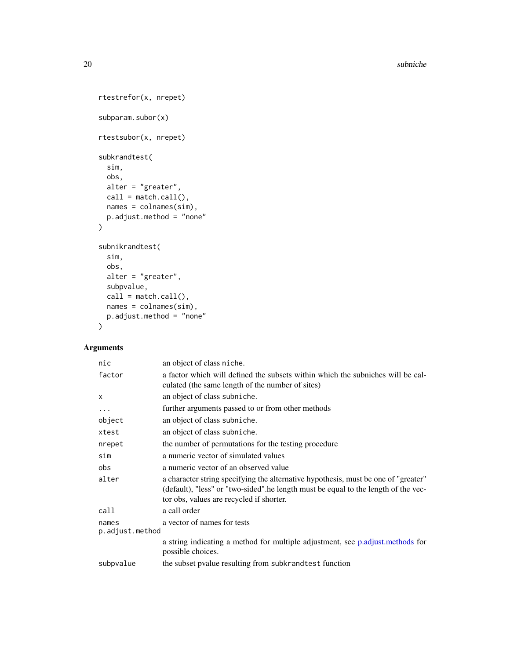<span id="page-19-0"></span>20 subniche

```
rtestrefor(x, nrepet)
subparam.subor(x)
rtestsubor(x, nrepet)
subkrandtest(
  sim,
 obs,
 alter = "greater",
 call = match.call(),names = colnames(sim),
 p.adjust.method = "none"
\mathcal{L}subnikrandtest(
  sim,
 obs,
 alter = "greater",
 subpvalue,
 call = match.call(),names = colnames(sim),
 p.adjust.method = "none"
\mathcal{L}
```
#### Arguments

| nic                      | an object of class niche.                                                                                                                                                                                            |
|--------------------------|----------------------------------------------------------------------------------------------------------------------------------------------------------------------------------------------------------------------|
| factor                   | a factor which will defined the subsets within which the subniches will be cal-<br>culated (the same length of the number of sites)                                                                                  |
| $\mathsf{x}$             | an object of class subniche.                                                                                                                                                                                         |
| $\cdots$                 | further arguments passed to or from other methods                                                                                                                                                                    |
| object                   | an object of class subniche.                                                                                                                                                                                         |
| xtest                    | an object of class subniche.                                                                                                                                                                                         |
| nrepet                   | the number of permutations for the testing procedure                                                                                                                                                                 |
| sim                      | a numeric vector of simulated values                                                                                                                                                                                 |
| obs                      | a numeric vector of an observed value                                                                                                                                                                                |
| alter                    | a character string specifying the alternative hypothesis, must be one of "greater"<br>(default), "less" or "two-sided".he length must be equal to the length of the vec-<br>tor obs, values are recycled if shorter. |
| call                     | a call order                                                                                                                                                                                                         |
| names<br>p.adjust.method | a vector of names for tests                                                                                                                                                                                          |
|                          | a string indicating a method for multiple adjustment, see p.adjust.methods for<br>possible choices.                                                                                                                  |
| subpvalue                | the subset pvalue resulting from subkrand test function                                                                                                                                                              |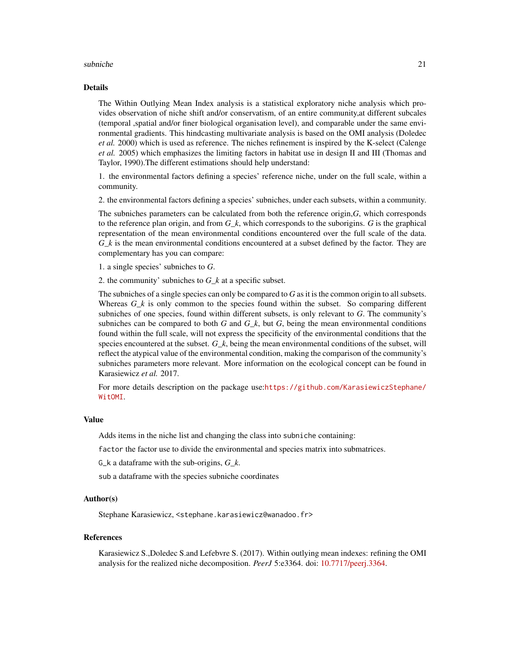#### subniche 21 ann an 21 ann an 22 ann an 22 ann an 22 ann an 22 ann an 22 ann an 22 ann an 22 ann an 22 ann an 22 ann an 22 ann an 22 ann an 22 ann an 22 ann an 22 ann an 22 ann an 22 ann an 22 ann an 22 ann an 22 ann an 22

#### Details

The Within Outlying Mean Index analysis is a statistical exploratory niche analysis which provides observation of niche shift and/or conservatism, of an entire community,at different subcales (temporal ,spatial and/or finer biological organisation level), and comparable under the same environmental gradients. This hindcasting multivariate analysis is based on the OMI analysis (Doledec *et al.* 2000) which is used as reference. The niches refinement is inspired by the K-select (Calenge *et al.* 2005) which emphasizes the limiting factors in habitat use in design II and III (Thomas and Taylor, 1990).The different estimations should help understand:

1. the environmental factors defining a species' reference niche, under on the full scale, within a community.

2. the environmental factors defining a species' subniches, under each subsets, within a community.

The subniches parameters can be calculated from both the reference origin,*G*, which corresponds to the reference plan origin, and from *G\_k*, which corresponds to the suborigins. *G* is the graphical representation of the mean environmental conditions encountered over the full scale of the data. *G\_k* is the mean environmental conditions encountered at a subset defined by the factor. They are complementary has you can compare:

1. a single species' subniches to *G*.

2. the community' subniches to *G\_k* at a specific subset.

The subniches of a single species can only be compared to *G* as it is the common origin to all subsets. Whereas  $G_k$  is only common to the species found within the subset. So comparing different subniches of one species, found within different subsets, is only relevant to *G*. The community's subniches can be compared to both *G* and  $G_k$ , but *G*, being the mean environmental conditions found within the full scale, will not express the specificity of the environmental conditions that the species encountered at the subset. *G\_k*, being the mean environmental conditions of the subset, will reflect the atypical value of the environmental condition, making the comparison of the community's subniches parameters more relevant. More information on the ecological concept can be found in Karasiewicz *et al.* 2017.

For more details description on the package use:[https://github.com/KarasiewiczStephane/](https://github.com/KarasiewiczStephane/WitOMI) [WitOMI](https://github.com/KarasiewiczStephane/WitOMI).

#### Value

Adds items in the niche list and changing the class into subniche containing:

factor the factor use to divide the environmental and species matrix into submatrices.

G\_k a dataframe with the sub-origins, *G\_k*.

sub a dataframe with the species subniche coordinates

#### Author(s)

Stephane Karasiewicz, <stephane.karasiewicz@wanadoo.fr>

#### References

Karasiewicz S.,Doledec S.and Lefebvre S. (2017). Within outlying mean indexes: refining the OMI analysis for the realized niche decomposition. *PeerJ* 5:e3364. doi: [10.7717/peerj.3364.](https://doi.org/10.7717/peerj.3364)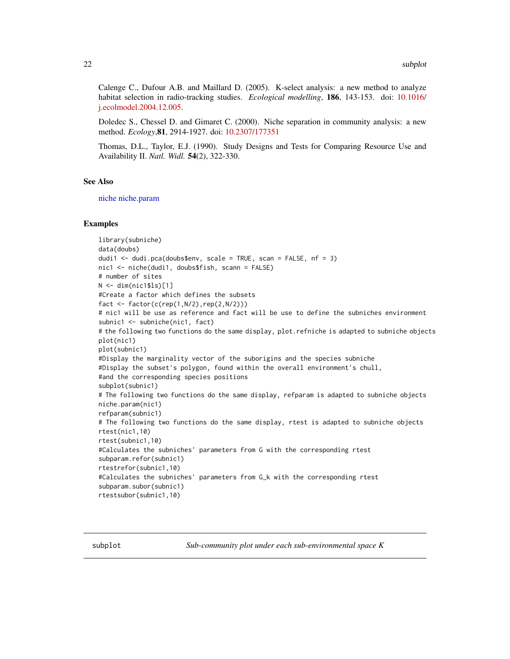<span id="page-21-0"></span>Calenge C., Dufour A.B. and Maillard D. (2005). K-select analysis: a new method to analyze habitat selection in radio-tracking studies. *Ecological modelling*, 186, 143-153. doi: [10.1016/](https://doi.org/10.1016/j.ecolmodel.2004.12.005) [j.ecolmodel.2004.12.005.](https://doi.org/10.1016/j.ecolmodel.2004.12.005)

Doledec S., Chessel D. and Gimaret C. (2000). Niche separation in community analysis: a new method. *Ecology*,81, 2914-1927. doi: [10.2307/177351](https://doi.org/10.2307/177351)

Thomas, D.L., Taylor, E.J. (1990). Study Designs and Tests for Comparing Resource Use and Availability II. *Natl. Widl.* 54(2), 322-330.

#### See Also

[niche](#page-0-0) [niche.param](#page-0-0)

#### Examples

```
library(subniche)
data(doubs)
dudi1 <- dudi.pca(doubs$env, scale = TRUE, scan = FALSE, nf = 3)
nic1 <- niche(dudi1, doubs$fish, scann = FALSE)
# number of sites
N < - dim(nic1$ls)[1]
#Create a factor which defines the subsets
fact <- factor(c(rep(1,N/2),rep(2,N/2)))
# nic1 will be use as reference and fact will be use to define the subniches environment
subnic1 <- subniche(nic1, fact)
# the following two functions do the same display, plot.refniche is adapted to subniche objects
plot(nic1)
plot(subnic1)
#Display the marginality vector of the suborigins and the species subniche
#Display the subset's polygon, found within the overall environment's chull,
#and the corresponding species positions
subplot(subnic1)
# The following two functions do the same display, refparam is adapted to subniche objects
niche.param(nic1)
refparam(subnic1)
# The following two functions do the same display, rtest is adapted to subniche objects
rtest(nic1,10)
rtest(subnic1,10)
#Calculates the subniches' parameters from G with the corresponding rtest
subparam.refor(subnic1)
rtestrefor(subnic1,10)
#Calculates the subniches' parameters from G_k with the corresponding rtest
subparam.subor(subnic1)
rtestsubor(subnic1,10)
```
subplot *Sub-community plot under each sub-environmental space K*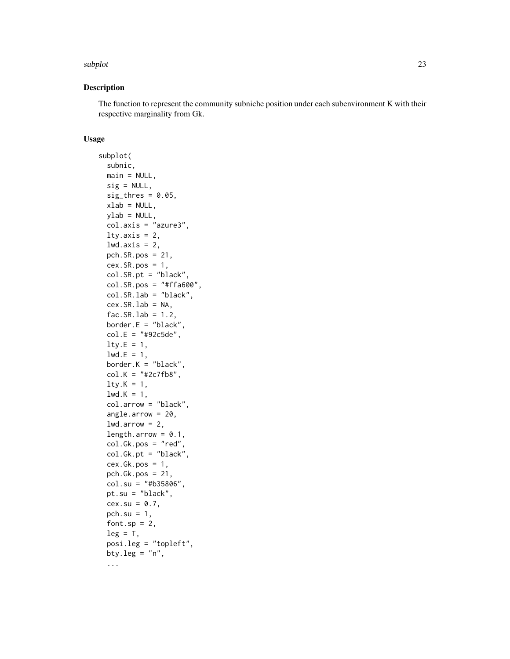#### subplot that the contract of the contract of the contract of the contract of the contract of the contract of the contract of the contract of the contract of the contract of the contract of the contract of the contract of t

#### Description

The function to represent the community subniche position under each subenvironment K with their respective marginality from Gk.

```
subplot(
 subnic,
 main = NULL,sig = NULL,sig_thres = 0.05,
 xlab = NULL,
 ylab = NULL,
  col.axis = "azure3",
  lty.axis = 2,
  lwd.axis = 2,
 pch.SR.pos = 21,
  cex.SR.pos = 1,
  col.SR.pt = "black",
  col.SR.pos = "#ffa600",col.SR.lab = "black",
  cex.SR.Lab = NA,
  fac.SR.lab = 1.2,border.E = "black",col.E = "#92c5de",lty.E = 1,
  1wd.E = 1,
  border.K = "black",col.K = "#2c7fb8",lty.K = 1,1wd.K = 1,
  col.arrow = "black",
  angle.arrow = 20,
  lwd.array = 2,
  length.arrow = 0.1,
  col.Gk.pos = "red",
  col.Gk.pt = "black",
  cex.Gk.pos = 1,
  pch.Gk.pos = 21,
  col.su = "#b35806",
 pt.su = "black",
 cex.su = 0.7,
 pch.su = 1,
  font.sp = 2,
  leg = T,
  posi.leg = "topleft",
 bty.leg = "n",...
```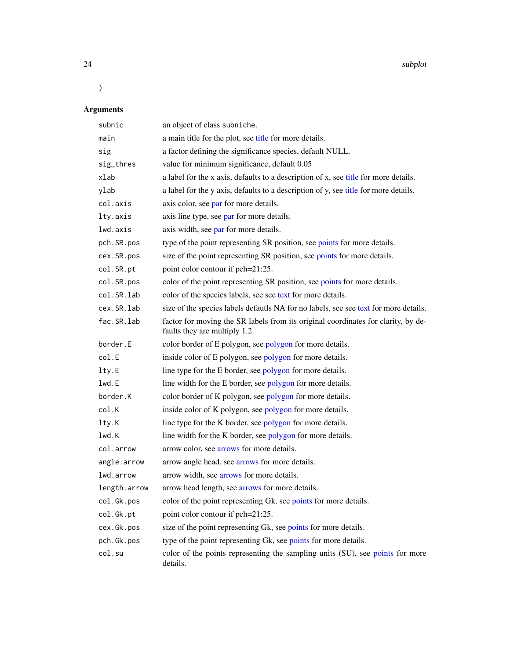24 subplot

# )

# Arguments

| subnic       | an object of class subniche.                                                                                      |
|--------------|-------------------------------------------------------------------------------------------------------------------|
| main         | a main title for the plot, see title for more details.                                                            |
| sig          | a factor defining the significance species, default NULL.                                                         |
| sig_thres    | value for minimum significance, default 0.05                                                                      |
| xlab         | a label for the x axis, defaults to a description of x, see title for more details.                               |
| ylab         | a label for the y axis, defaults to a description of y, see title for more details.                               |
| col.axis     | axis color, see par for more details.                                                                             |
| lty.axis     | axis line type, see par for more details.                                                                         |
| lwd.axis     | axis width, see par for more details.                                                                             |
| pch.SR.pos   | type of the point representing SR position, see points for more details.                                          |
| cex.SR.pos   | size of the point representing SR position, see points for more details.                                          |
| col.SR.pt    | point color contour if pch=21:25.                                                                                 |
| col.SR.pos   | color of the point representing SR position, see points for more details.                                         |
| col.SR.lab   | color of the species labels, see see text for more details.                                                       |
| cex.SR.lab   | size of the species labels defautls NA for no labels, see see text for more details.                              |
| fac.SR.lab   | factor for moving the SR labels from its original coordinates for clarity, by de-<br>faults they are multiply 1.2 |
| border.E     | color border of E polygon, see polygon for more details.                                                          |
| col.E        | inside color of E polygon, see polygon for more details.                                                          |
| lty.E        | line type for the E border, see polygon for more details.                                                         |
| lwd.E        | line width for the E border, see polygon for more details.                                                        |
| border.K     | color border of K polygon, see polygon for more details.                                                          |
| col.K        | inside color of K polygon, see polygon for more details.                                                          |
| lty.K        | line type for the K border, see polygon for more details.                                                         |
| lwd.K        | line width for the K border, see polygon for more details.                                                        |
| col.arrow    | arrow color, see arrows for more details.                                                                         |
| angle.arrow  | arrow angle head, see arrows for more details.                                                                    |
| lwd.arrow    | arrow width, see arrows for more details.                                                                         |
| length.arrow | arrow head length, see arrows for more details.                                                                   |
| col.Gk.pos   | color of the point representing Gk, see points for more details.                                                  |
| col.Gk.pt    | point color contour if pch=21:25.                                                                                 |
| cex.Gk.pos   | size of the point representing Gk, see points for more details.                                                   |
| pch.Gk.pos   | type of the point representing Gk, see points for more details.                                                   |
| col.su       | color of the points representing the sampling units (SU), see points for more<br>details.                         |

<span id="page-23-0"></span>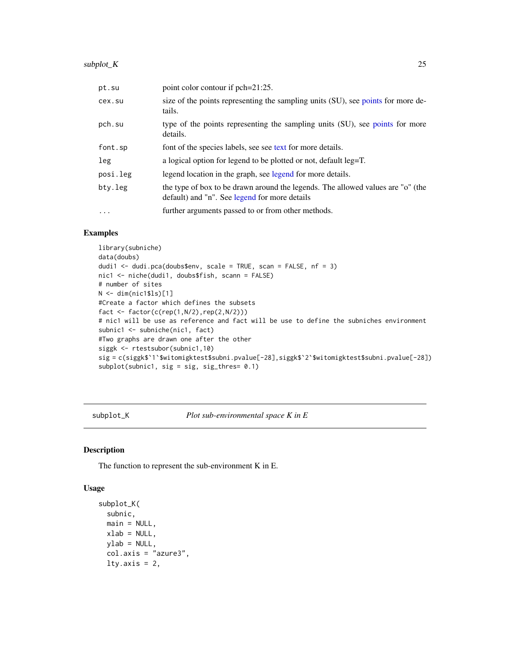#### <span id="page-24-0"></span>subplot\_K 25

| pt.su    | point color contour if pch=21:25.                                                                                                |
|----------|----------------------------------------------------------------------------------------------------------------------------------|
| cex.su   | size of the points representing the sampling units (SU), see points for more de-<br>tails.                                       |
| pch.su   | type of the points representing the sampling units (SU), see points for more<br>details.                                         |
| font.sp  | font of the species labels, see see text for more details.                                                                       |
| leg      | a logical option for legend to be plotted or not, default leg=T.                                                                 |
| posi.leg | legend location in the graph, see legend for more details.                                                                       |
| bty.leg  | the type of box to be drawn around the legends. The allowed values are "o" (the<br>default) and "n". See legend for more details |
| $\cdot$  | further arguments passed to or from other methods.                                                                               |

#### Examples

```
library(subniche)
data(doubs)
dudi1 \leq dudi.pca(doubs$env, scale = TRUE, scan = FALSE, nf = 3)
nic1 <- niche(dudi1, doubs$fish, scann = FALSE)
# number of sites
N <- dim(nic1$ls)[1]
#Create a factor which defines the subsets
fact <- factor(c(rep(1,N/2),rep(2,N/2)))
# nic1 will be use as reference and fact will be use to define the subniches environment
subnic1 <- subniche(nic1, fact)
#Two graphs are drawn one after the other
siggk <- rtestsubor(subnic1,10)
sig = c(siggk$`1`$witomigktest$subni.pvalue[-28],siggk$`2`$witomigktest$subni.pvalue[-28])
subplot(subnic1, sig = sig, sig_thres= 0.1)
```
subplot\_K *Plot sub-environmental space K in E*

#### Description

The function to represent the sub-environment K in E.

```
subplot_K(
  subnic,
 main = NULL,xlab = NULL,
 ylab = NULL,
  col.axis = "azure3",
  lty.axis = 2,
```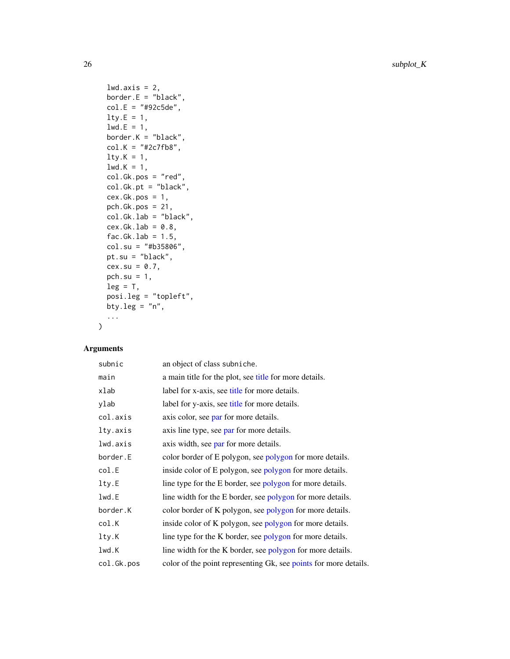<span id="page-25-0"></span>26 subplot\_K

```
lwd.axis = 2,border.E = "black",
col.E = "#92c5de",lty.E = 1,1wd.E = 1,
border.K = "black",
col.K = "#2c7fb8",lty.K = 1,1wd.K = 1,
col.Gk.pos = "red",
col.Gk.pt = "black",
cex.Gk.pos = 1,
pch.Gk.pos = 21,
col.Gk.lab = "black",
cex.Gk.lab = 0.8,fac.Gk.lab = 1.5,
col.su = "#b35806",
pt.su = "black",
cex.su = 0.7,
pch.su = 1,
leg = T,posi.leg = "topleft",
bty.leg = "n",...
```
### Arguments

 $\mathcal{L}$ 

| subnic      | an object of class subniche.                                     |
|-------------|------------------------------------------------------------------|
| main        | a main title for the plot, see title for more details.           |
| xlab        | label for x-axis, see title for more details.                    |
| ylab        | label for y-axis, see title for more details.                    |
| col.axis    | axis color, see par for more details.                            |
| lty.axis    | axis line type, see par for more details.                        |
| lwd.axis    | axis width, see par for more details.                            |
| border.E    | color border of E polygon, see polygon for more details.         |
| col.E       | inside color of E polygon, see polygon for more details.         |
| $l$ ty. $E$ | line type for the E border, see polygon for more details.        |
| lwd.E       | line width for the E border, see polygon for more details.       |
| border.K    | color border of K polygon, see polygon for more details.         |
| col.K       | inside color of K polygon, see polygon for more details.         |
| lty.K       | line type for the K border, see polygon for more details.        |
| lwd.K       | line width for the K border, see polygon for more details.       |
| col.Gk.pos  | color of the point representing Gk, see points for more details. |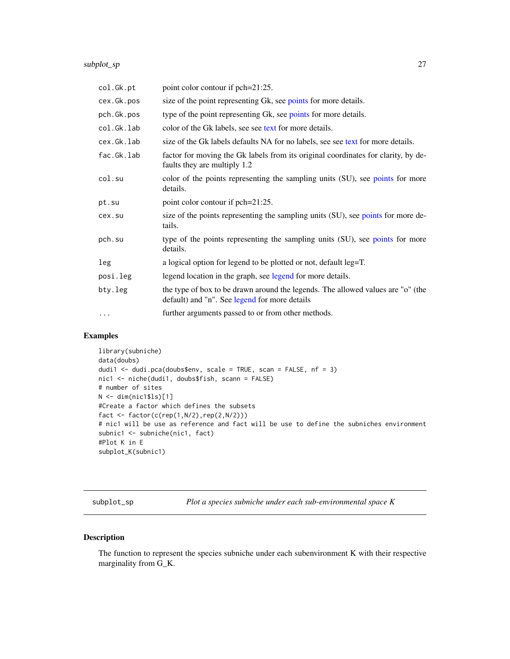#### <span id="page-26-0"></span>subplot\_sp 27

| col.Gk.pt  | point color contour if pch=21:25.                                                                                                |
|------------|----------------------------------------------------------------------------------------------------------------------------------|
| cex.Gk.pos | size of the point representing Gk, see points for more details.                                                                  |
| pch.Gk.pos | type of the point representing Gk, see points for more details.                                                                  |
| col.Gk.lab | color of the Gk labels, see see text for more details.                                                                           |
| cex.Gk.lab | size of the Gk labels defaults NA for no labels, see see text for more details.                                                  |
| fac.Gk.lab | factor for moving the Gk labels from its original coordinates for clarity, by de-<br>faults they are multiply 1.2                |
| col.su     | color of the points representing the sampling units (SU), see points for more<br>details.                                        |
| pt.su      | point color contour if pch=21:25.                                                                                                |
| cex.su     | size of the points representing the sampling units (SU), see points for more de-<br>tails.                                       |
| pch.su     | type of the points representing the sampling units (SU), see points for more<br>details.                                         |
| leg        | a logical option for legend to be plotted or not, default leg=T.                                                                 |
| posi.leg   | legend location in the graph, see legend for more details.                                                                       |
| bty.leg    | the type of box to be drawn around the legends. The allowed values are "o" (the<br>default) and "n". See legend for more details |
| $\cdots$   | further arguments passed to or from other methods.                                                                               |

#### Examples

```
library(subniche)
data(doubs)
dudi1 <- dudi.pca(doubs$env, scale = TRUE, scan = FALSE, nf = 3)
nic1 <- niche(dudi1, doubs$fish, scann = FALSE)
# number of sites
N <- dim(nic1$ls)[1]
#Create a factor which defines the subsets
fact \leq factor(c(rep(1,N/2),rep(2,N/2)))
# nic1 will be use as reference and fact will be use to define the subniches environment
subnic1 <- subniche(nic1, fact)
#Plot K in E
subplot_K(subnic1)
```
subplot\_sp *Plot a species subniche under each sub-environmental space K*

#### Description

The function to represent the species subniche under each subenvironment K with their respective marginality from G\_K.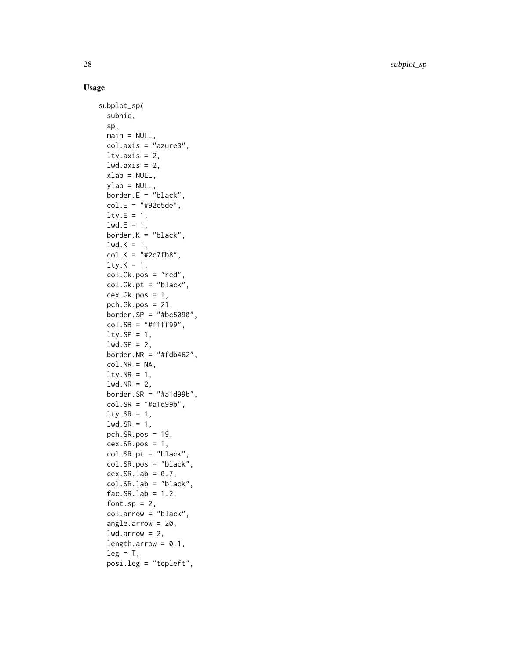28 subplot\_sp

```
subplot_sp(
  subnic,
  sp,
  main = NULL,col.axis = "azure3",
  lty.axis = 2,
  lwd.axis = 2,
  xlab = NULL,
  ylab = NULL,
  border.E = "black",col.E = "#92c5de",lty.E = 1,1wd.E = 1,
  border.K = "black",lwd.K = 1,
  col.K = "#2c7fb8",lty.K = 1,col.Gk.pos = "red",
  col.Gk.pt = "black",
  cex.Gk.pos = 1,
  pch.Gk.pos = 21,
  border.SP = "#bc5090",
  col.SB = "#ffff99",lty.SP = 1,
  lwd.SP = 2,
  border.NR = "#fdb462",
  col.NR = NA,
  lty.NR = 1,lwd.NR = 2,
  border.SR = "#a1d99b",col.SR = "#a1d99b",lty.SR = 1,
  lwd.SR = 1,
  pch.SR.pos = 19,
  cex.SR.pos = 1,
  col.SR.pt = "black",
  col.SR.pos = "black",
  cex.SR.lab = 0.7,
  col.SR.lab = "black",
  fac.SR.Lab = 1.2,font.sp = 2,
  col.arrow = "black",
  angle.arrow = 20,
  lwd.arrayow = 2,
  length.arrow = 0.1,
  leg = T,posi.leg = "topleft",
```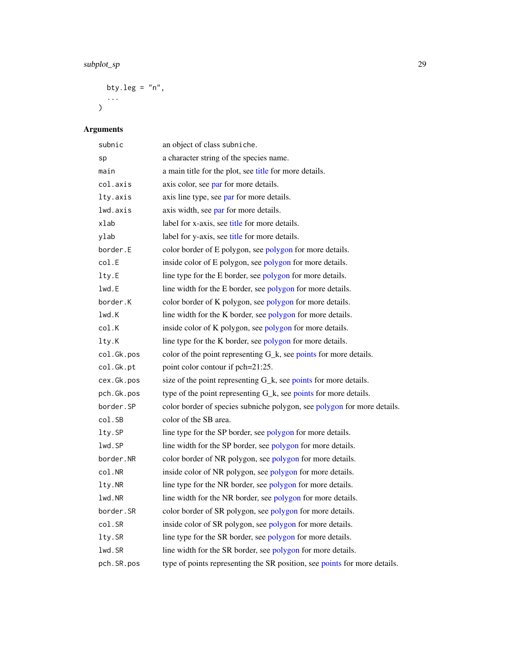# <span id="page-28-0"></span>subplot\_sp 29

```
bty.leg = "n",...
```
# Arguments

)

| subnic     | an object of class subniche.                                              |
|------------|---------------------------------------------------------------------------|
| sp         | a character string of the species name.                                   |
| main       | a main title for the plot, see title for more details.                    |
| col.axis   | axis color, see par for more details.                                     |
| lty.axis   | axis line type, see par for more details.                                 |
| lwd.axis   | axis width, see par for more details.                                     |
| xlab       | label for x-axis, see title for more details.                             |
| ylab       | label for y-axis, see title for more details.                             |
| border.E   | color border of E polygon, see polygon for more details.                  |
| col.E      | inside color of E polygon, see polygon for more details.                  |
| lty.E      | line type for the E border, see polygon for more details.                 |
| lwd.E      | line width for the E border, see polygon for more details.                |
| border.K   | color border of K polygon, see polygon for more details.                  |
| lwd.K      | line width for the K border, see polygon for more details.                |
| col.K      | inside color of K polygon, see polygon for more details.                  |
| lty.K      | line type for the K border, see polygon for more details.                 |
| col.Gk.pos | color of the point representing G_k, see points for more details.         |
| col.Gk.pt  | point color contour if pch=21:25.                                         |
| cex.Gk.pos | size of the point representing G_k, see points for more details.          |
| pch.Gk.pos | type of the point representing G_k, see points for more details.          |
| border.SP  | color border of species subniche polygon, see polygon for more details.   |
| col.SB     | color of the SB area.                                                     |
| lty.SP     | line type for the SP border, see polygon for more details.                |
| lwd.SP     | line width for the SP border, see polygon for more details.               |
| border.NR  | color border of NR polygon, see polygon for more details.                 |
| col.NR     | inside color of NR polygon, see polygon for more details.                 |
| lty.NR     | line type for the NR border, see polygon for more details.                |
| lwd.NR     | line width for the NR border, see polygon for more details.               |
| border.SR  | color border of SR polygon, see polygon for more details.                 |
| col.SR     | inside color of SR polygon, see polygon for more details.                 |
| lty.SR     | line type for the SR border, see polygon for more details.                |
| lwd.SR     | line width for the SR border, see polygon for more details.               |
| pch.SR.pos | type of points representing the SR position, see points for more details. |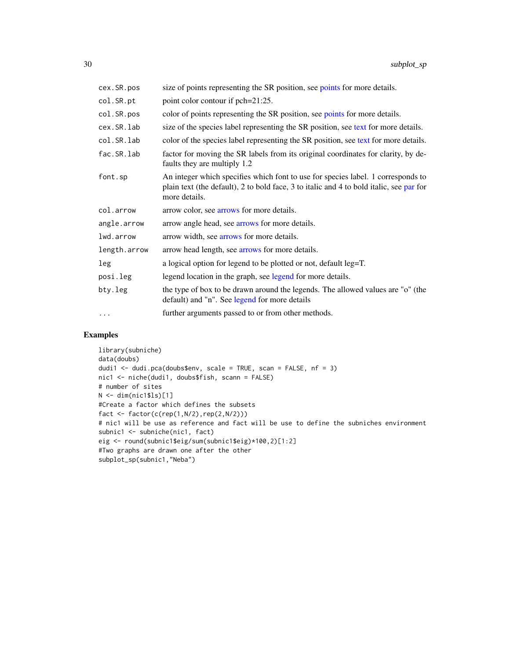<span id="page-29-0"></span>

| cex.SR.pos   | size of points representing the SR position, see points for more details.                                                                                                                    |
|--------------|----------------------------------------------------------------------------------------------------------------------------------------------------------------------------------------------|
| col.SR.pt    | point color contour if pch=21:25.                                                                                                                                                            |
| col.SR.pos   | color of points representing the SR position, see points for more details.                                                                                                                   |
| cex.SR.lab   | size of the species label representing the SR position, see text for more details.                                                                                                           |
| col.SR.lab   | color of the species label representing the SR position, see text for more details.                                                                                                          |
| fac.SR.lab   | factor for moving the SR labels from its original coordinates for clarity, by de-<br>faults they are multiply 1.2                                                                            |
| font.sp      | An integer which specifies which font to use for species label. 1 corresponds to<br>plain text (the default), 2 to bold face, 3 to italic and 4 to bold italic, see par for<br>more details. |
| col.arrow    | arrow color, see arrows for more details.                                                                                                                                                    |
| angle.arrow  | arrow angle head, see arrows for more details.                                                                                                                                               |
| lwd.arrow    | arrow width, see arrows for more details.                                                                                                                                                    |
| length.arrow | arrow head length, see arrows for more details.                                                                                                                                              |
| leg          | a logical option for legend to be plotted or not, default leg=T.                                                                                                                             |
| posi.leg     | legend location in the graph, see legend for more details.                                                                                                                                   |
| bty.leg      | the type of box to be drawn around the legends. The allowed values are "o" (the<br>default) and "n". See legend for more details                                                             |
| $\cdots$     | further arguments passed to or from other methods.                                                                                                                                           |

#### Examples

```
library(subniche)
data(doubs)
dudi1 <- dudi.pca(doubs$env, scale = TRUE, scan = FALSE, nf = 3)
nic1 <- niche(dudi1, doubs$fish, scann = FALSE)
# number of sites
N <- dim(nic1$ls)[1]
#Create a factor which defines the subsets
fact <- factor(c(rep(1,N/2),rep(2,N/2)))
# nic1 will be use as reference and fact will be use to define the subniches environment
subnic1 <- subniche(nic1, fact)
eig <- round(subnic1$eig/sum(subnic1$eig)*100,2)[1:2]
#Two graphs are drawn one after the other
subplot_sp(subnic1,"Neba")
```